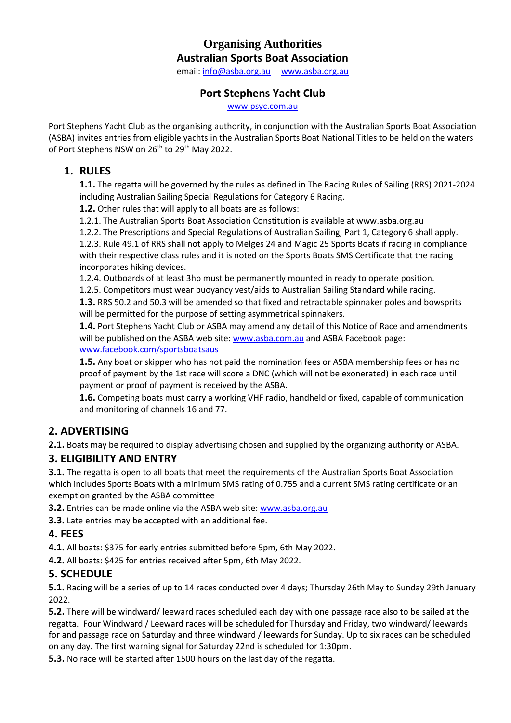### **Organising Authorities Australian Sports Boat Association**

email: [info@asba.org.au](file:///C:/Users/Setup/Desktop/Super%2020%20Program/Nationals%202022%20NOR/info@asba.org.au) [www.asba.org.au](file:///C:/Users/Setup/Desktop/Super%2020%20Program/Nationals%202022%20NOR/www.asba.org.au)

#### **Port Stephens Yacht Club**

[www.psyc.com.au](http://www.psyc.com.au/)

Port Stephens Yacht Club as the organising authority, in conjunction with the Australian Sports Boat Association (ASBA) invites entries from eligible yachts in the Australian Sports Boat National Titles to be held on the waters of Port Stephens NSW on 26<sup>th</sup> to 29<sup>th</sup> May 2022.

### **1. RULES**

**1.1.** The regatta will be governed by the rules as defined in The Racing Rules of Sailing (RRS) 2021-2024 including Australian Sailing Special Regulations for Category 6 Racing.

**1.2.** Other rules that will apply to all boats are as follows:

1.2.1. The Australian Sports Boat Association Constitution is available at www.asba.org.au

1.2.2. The Prescriptions and Special Regulations of Australian Sailing, Part 1, Category 6 shall apply.

1.2.3. Rule 49.1 of RRS shall not apply to Melges 24 and Magic 25 Sports Boats if racing in compliance with their respective class rules and it is noted on the Sports Boats SMS Certificate that the racing incorporates hiking devices.

1.2.4. Outboards of at least 3hp must be permanently mounted in ready to operate position.

1.2.5. Competitors must wear buoyancy vest/aids to Australian Sailing Standard while racing.

**1.3.** RRS 50.2 and 50.3 will be amended so that fixed and retractable spinnaker poles and bowsprits will be permitted for the purpose of setting asymmetrical spinnakers.

**1.4.** Port Stephens Yacht Club or ASBA may amend any detail of this Notice of Race and amendments will be published on the ASBA web site: [www.asba.com.au](file:///C:/Users/Setup/Desktop/Super%2020%20Program/Nationals%202022%20NOR/www.asba.com.au) and ASBA Facebook page: [www.facebook.com/sportsboatsaus](file:///C:/Users/Setup/Desktop/Super%2020%20Program/Nationals%202022%20NOR/www.facebook.com/sportsboatsaus) 

**1.5.** Any boat or skipper who has not paid the nomination fees or ASBA membership fees or has no proof of payment by the 1st race will score a DNC (which will not be exonerated) in each race until payment or proof of payment is received by the ASBA.

**1.6.** Competing boats must carry a working VHF radio, handheld or fixed, capable of communication and monitoring of channels 16 and 77.

# **2. ADVERTISING**

**2.1.** Boats may be required to display advertising chosen and supplied by the organizing authority or ASBA.

#### **3. ELIGIBILITY AND ENTRY**

**3.1.** The regatta is open to all boats that meet the requirements of the Australian Sports Boat Association which includes Sports Boats with a minimum SMS rating of 0.755 and a current SMS rating certificate or an exemption granted by the ASBA committee

**3.2.** Entries can be made online via the ASBA web site: [www.asba.org.au](file:///C:/Users/Setup/Desktop/Super%2020%20Program/Nationals%202022%20NOR/www.asba.org.au) 

**3.3.** Late entries may be accepted with an additional fee.

#### **4. FEES**

**4.1.** All boats: \$375 for early entries submitted before 5pm, 6th May 2022.

**4.2.** All boats: \$425 for entries received after 5pm, 6th May 2022.

# **5. SCHEDULE**

**5.1.** Racing will be a series of up to 14 races conducted over 4 days; Thursday 26th May to Sunday 29th January 2022.

**5.2.** There will be windward/ leeward races scheduled each day with one passage race also to be sailed at the regatta. Four Windward / Leeward races will be scheduled for Thursday and Friday, two windward/ leewards for and passage race on Saturday and three windward / leewards for Sunday. Up to six races can be scheduled on any day. The first warning signal for Saturday 22nd is scheduled for 1:30pm.

**5.3.** No race will be started after 1500 hours on the last day of the regatta.